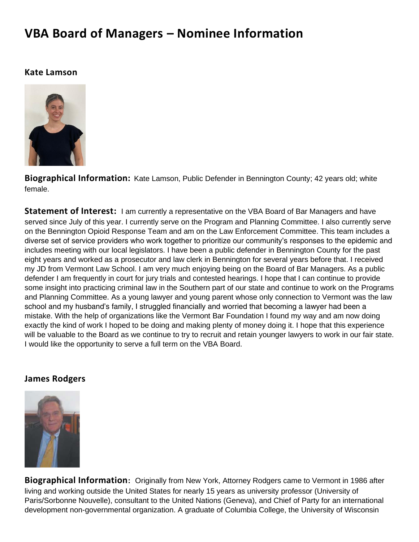# **VBA Board of Managers – Nominee Information**

#### **Kate Lamson**



**Biographical Information:** Kate Lamson, Public Defender in Bennington County; 42 years old; white female.

**Statement of Interest:** I am currently a representative on the VBA Board of Bar Managers and have served since July of this year. I currently serve on the Program and Planning Committee. I also currently serve on the Bennington Opioid Response Team and am on the Law Enforcement Committee. This team includes a diverse set of service providers who work together to prioritize our community's responses to the epidemic and includes meeting with our local legislators. I have been a public defender in Bennington County for the past eight years and worked as a prosecutor and law clerk in Bennington for several years before that. I received my JD from Vermont Law School. I am very much enjoying being on the Board of Bar Managers. As a public defender I am frequently in court for jury trials and contested hearings. I hope that I can continue to provide some insight into practicing criminal law in the Southern part of our state and continue to work on the Programs and Planning Committee. As a young lawyer and young parent whose only connection to Vermont was the law school and my husband's family, I struggled financially and worried that becoming a lawyer had been a mistake. With the help of organizations like the Vermont Bar Foundation I found my way and am now doing exactly the kind of work I hoped to be doing and making plenty of money doing it. I hope that this experience will be valuable to the Board as we continue to try to recruit and retain younger lawyers to work in our fair state. I would like the opportunity to serve a full term on the VBA Board.

#### **James Rodgers**



**Biographical Information:** Originally from New York, Attorney Rodgers came to Vermont in 1986 after living and working outside the United States for nearly 15 years as university professor (University of Paris/Sorbonne Nouvelle), consultant to the United Nations (Geneva), and Chief of Party for an international development non-governmental organization. A graduate of Columbia College, the University of Wisconsin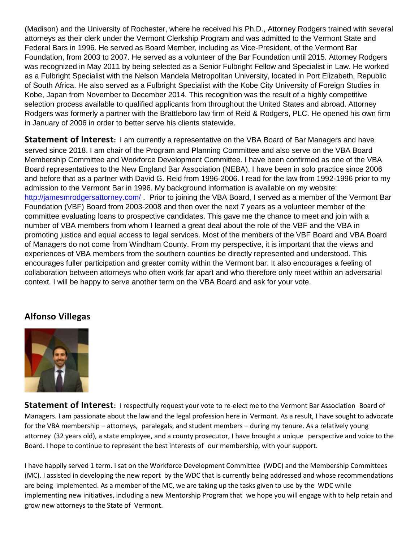(Madison) and the University of Rochester, where he received his Ph.D., Attorney Rodgers trained with several attorneys as their clerk under the Vermont Clerkship Program and was admitted to the Vermont State and Federal Bars in 1996. He served as Board Member, including as Vice-President, of the Vermont Bar Foundation, from 2003 to 2007. He served as a volunteer of the Bar Foundation until 2015. Attorney Rodgers was recognized in May 2011 by being selected as a Senior Fulbright Fellow and Specialist in Law. He worked as a Fulbright Specialist with the Nelson Mandela Metropolitan University, located in Port Elizabeth, Republic of South Africa. He also served as a Fulbright Specialist with the Kobe City University of Foreign Studies in Kobe, Japan from November to December 2014. This recognition was the result of a highly competitive selection process available to qualified applicants from throughout the United States and abroad. Attorney Rodgers was formerly a partner with the Brattleboro law firm of Reid & Rodgers, PLC. He opened his own firm in January of 2006 in order to better serve his clients statewide.

**Statement of Interest:** I am currently a representative on the VBA Board of Bar Managers and have served since 2018. I am chair of the Program and Planning Committee and also serve on the VBA Board Membership Committee and Workforce Development Committee. I have been confirmed as one of the VBA Board representatives to the New England Bar Association (NEBA). I have been in solo practice since 2006 and before that as a partner with David G. Reid from 1996-2006. I read for the law from 1992-1996 prior to my admission to the Vermont Bar in 1996. My background information is available on my website: <http://jamesmrodgersattorney.com/> . Prior to joining the VBA Board, I served as a member of the Vermont Bar Foundation (VBF) Board from 2003-2008 and then over the next 7 years as a volunteer member of the committee evaluating loans to prospective candidates. This gave me the chance to meet and join with a number of VBA members from whom I learned a great deal about the role of the VBF and the VBA in promoting justice and equal access to legal services. Most of the members of the VBF Board and VBA Board of Managers do not come from Windham County. From my perspective, it is important that the views and experiences of VBA members from the southern counties be directly represented and understood. This encourages fuller participation and greater comity within the Vermont bar. It also encourages a feeling of collaboration between attorneys who often work far apart and who therefore only meet within an adversarial context. I will be happy to serve another term on the VBA Board and ask for your vote.

## **Alfonso Villegas**



**Statement of Interest:** I respectfully request your vote to re-elect me to the Vermont Bar Association Board of Managers. I am passionate about the law and the legal profession here in Vermont. As a result, I have sought to advocate for the VBA membership – attorneys, paralegals, and student members – during my tenure. As a relatively young attorney (32 years old), a state employee, and a county prosecutor, I have brought a unique perspective and voice to the Board. I hope to continue to represent the best interests of our membership, with your support.

I have happily served 1 term. I sat on the Workforce Development Committee (WDC) and the Membership Committees (MC). I assisted in developing the new report by the WDC that is currently being addressed and whose recommendations are being implemented. As a member of the MC, we are taking up the tasks given to use by the WDC while implementing new initiatives, including a new Mentorship Program that we hope you will engage with to help retain and grow new attorneys to the State of Vermont.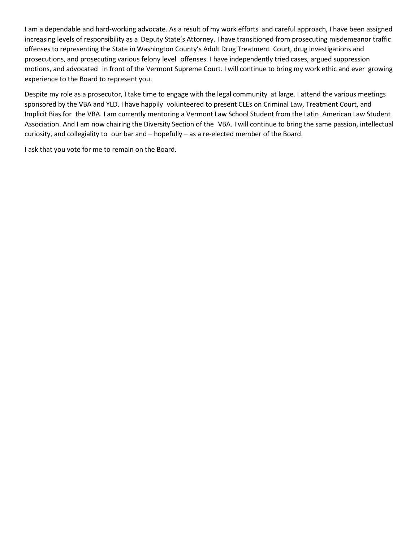I am a dependable and hard-working advocate. As a result of my work efforts and careful approach, I have been assigned increasing levels of responsibility as a Deputy State's Attorney. I have transitioned from prosecuting misdemeanor traffic offenses to representing the State in Washington County's Adult Drug Treatment Court, drug investigations and prosecutions, and prosecuting various felony level offenses. I have independently tried cases, argued suppression motions, and advocated in front of the Vermont Supreme Court. I will continue to bring my work ethic and ever growing experience to the Board to represent you.

Despite my role as a prosecutor, I take time to engage with the legal community at large. I attend the various meetings sponsored by the VBA and YLD. I have happily volunteered to present CLEs on Criminal Law, Treatment Court, and Implicit Bias for the VBA. I am currently mentoring a Vermont Law School Student from the Latin American Law Student Association. And I am now chairing the Diversity Section of the VBA. I will continue to bring the same passion, intellectual curiosity, and collegiality to our bar and – hopefully – as a re-elected member of the Board.

I ask that you vote for me to remain on the Board.